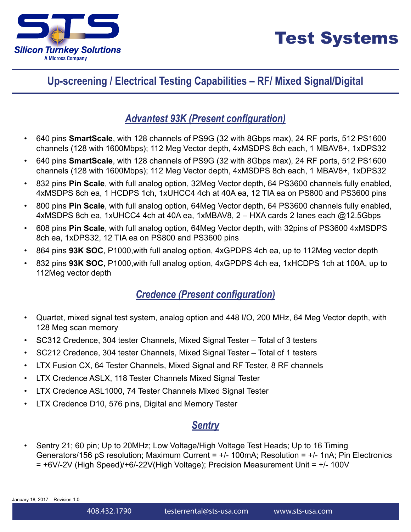

### **Up-screening / Electrical Testing Capabilities – RF/ Mixed Signal/Digital**

#### *Advantest 93K (Present configuration)*

- 640 pins **SmartScale**, with 128 channels of PS9G (32 with 8Gbps max), 24 RF ports, 512 PS1600 channels (128 with 1600Mbps); 112 Meg Vector depth, 4xMSDPS 8ch each, 1 MBAV8+, 1xDPS32
- 640 pins **SmartScale**, with 128 channels of PS9G (32 with 8Gbps max), 24 RF ports, 512 PS1600 channels (128 with 1600Mbps); 112 Meg Vector depth, 4xMSDPS 8ch each, 1 MBAV8+, 1xDPS32
- 832 pins **Pin Scale**, with full analog option, 32Meg Vector depth, 64 PS3600 channels fully enabled, 4xMSDPS 8ch ea, 1 HCDPS 1ch, 1xUHCC4 4ch at 40A ea, 12 TIA ea on PS800 and PS3600 pins
- 800 pins **Pin Scale**, with full analog option, 64Meg Vector depth, 64 PS3600 channels fully enabled, 4xMSDPS 8ch ea, 1xUHCC4 4ch at 40A ea, 1xMBAV8, 2 – HXA cards 2 lanes each @12.5Gbps
- 608 pins **Pin Scale**, with full analog option, 64Meg Vector depth, with 32pins of PS3600 4xMSDPS 8ch ea, 1xDPS32, 12 TIA ea on PS800 and PS3600 pins
- 864 pins **93K SOC**, P1000,with full analog option, 4xGPDPS 4ch ea, up to 112Meg vector depth
- 832 pins **93K SOC**, P1000,with full analog option, 4xGPDPS 4ch ea, 1xHCDPS 1ch at 100A, up to 112Meg vector depth

### *Credence (Present configuration)*

- Quartet, mixed signal test system, analog option and 448 I/O, 200 MHz, 64 Meg Vector depth, with 128 Meg scan memory
- SC312 Credence, 304 tester Channels, Mixed Signal Tester Total of 3 testers
- SC212 Credence, 304 tester Channels, Mixed Signal Tester Total of 1 testers
- LTX Fusion CX, 64 Tester Channels, Mixed Signal and RF Tester, 8 RF channels
- LTX Credence ASLX, 118 Tester Channels Mixed Signal Tester
- LTX Credence ASL1000, 74 Tester Channels Mixed Signal Tester
- LTX Credence D10, 576 pins, Digital and Memory Tester

#### *Sentry*

• Sentry 21; 60 pin; Up to 20MHz; Low Voltage/High Voltage Test Heads; Up to 16 Timing Generators/156 pS resolution; Maximum Current =  $+/$ -100mA; Resolution =  $+/$ -1nA; Pin Electronics = +6V/-2V (High Speed)/+6/-22V(High Voltage); Precision Measurement Unit = +/- 100V